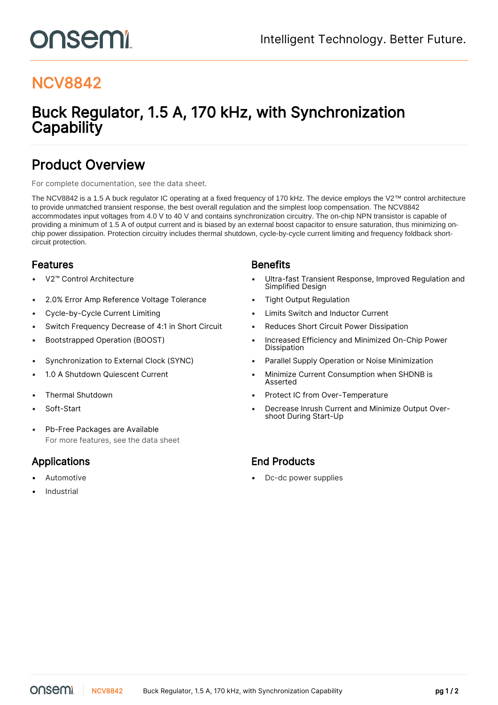# onsemi

## NCV8842

### Buck Regulator, 1.5 A, 170 kHz, with Synchronization **Capability**

### Product Overview

For complete documentation, see the [data sheet.](https://www.onsemi.com/PowerSolutions/product.do?id=NCV8842)

The NCV8842 is a 1.5 A buck regulator IC operating at a fixed frequency of 170 kHz. The device employs the V2™ control architecture to provide unmatched transient response, the best overall regulation and the simplest loop compensation. The NCV8842 accommodates input voltages from 4.0 V to 40 V and contains synchronization circuitry. The on-chip NPN transistor is capable of providing a minimum of 1.5 A of output current and is biased by an external boost capacitor to ensure saturation, thus minimizing onchip power dissipation. Protection circuitry includes thermal shutdown, cycle-by-cycle current limiting and frequency foldback shortcircuit protection.

### **Features Benefits**

- 
- 2.0% Error Amp Reference Voltage Tolerance Tight Output Regulation
- 
- Switch Frequency Decrease of 4:1 in Short Circuit Reduces Short Circuit Power Dissipation
- 
- 
- 
- 
- 
- Pb-Free Packages are Available For more features, see the [data sheet](https://www.onsemi.com/PowerSolutions/product.do?id=NCV8842)

- 
- **Industrial**

- V2™ Control Architecture Ultra-fast Transient Response, Improved Regulation and Simplified Design
	-
- Cycle-by-Cycle Current Limiting Limits Switch and Inductor Current
	-
- Bootstrapped Operation (BOOST) Increased Efficiency and Minimized On-Chip Power Dissipation
- Synchronization to External Clock (SYNC) Parallel Supply Operation or Noise Minimization
- 1.0 A Shutdown Quiescent Current  **Minimize Current Consumption when SHDNB** is Asserted
- Thermal Shutdown Protect IC from Over-Temperature
- Soft-Start Decrease Inrush Current and Minimize Output Overshoot During Start-Up

### Applications **End Products**

Automotive **Automotive Contract Automotive •** Dc-dc power supplies